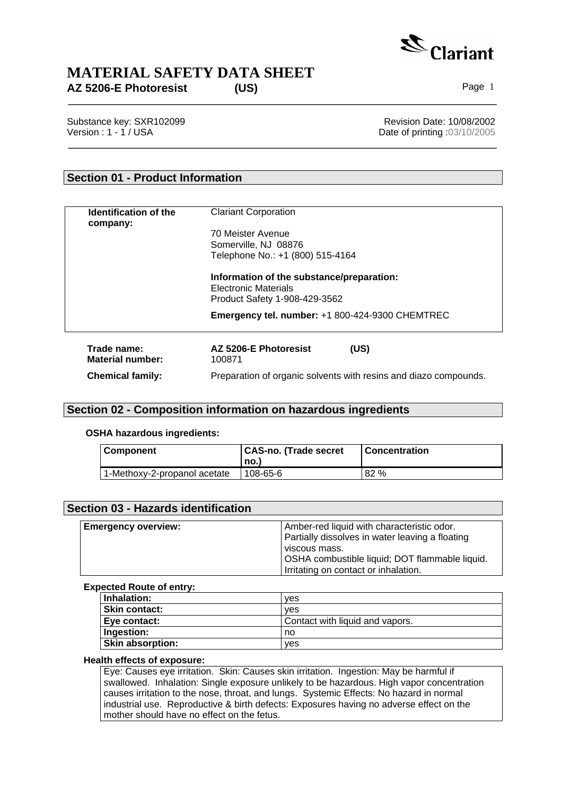

Substance key: SXR102099<br>
Version : 1 - 1 / USA<br>
Version : 1 - 1 / USA Date of printing :03/10/2005

## **Section 01 - Product Information**

| Identification of the<br>company:      | <b>Clariant Corporation</b><br>70 Meister Avenue                                                                                                                      |  |  |  |
|----------------------------------------|-----------------------------------------------------------------------------------------------------------------------------------------------------------------------|--|--|--|
|                                        |                                                                                                                                                                       |  |  |  |
|                                        | Somerville, NJ 08876<br>Telephone No.: +1 (800) 515-4164<br>Information of the substance/preparation:<br><b>Electronic Materials</b><br>Product Safety 1-908-429-3562 |  |  |  |
|                                        |                                                                                                                                                                       |  |  |  |
|                                        |                                                                                                                                                                       |  |  |  |
|                                        | Emergency tel. number: +1 800-424-9300 CHEMTREC                                                                                                                       |  |  |  |
| Trade name:<br><b>Material number:</b> | AZ 5206-E Photoresist<br>(US)<br>100871                                                                                                                               |  |  |  |
| <b>Chemical family:</b>                | Preparation of organic solvents with resins and diazo compounds.                                                                                                      |  |  |  |

## **Section 02 - Composition information on hazardous ingredients**

**OSHA hazardous ingredients:**

| Component                    | CAS-no. (Trade secret | l Concentration |
|------------------------------|-----------------------|-----------------|
|                              | no.l                  |                 |
| 1-Methoxy-2-propanol acetate | 108-65-6              | 82 %            |

| Section 03 - Hazards identification |                                                                                                                                                                                                          |
|-------------------------------------|----------------------------------------------------------------------------------------------------------------------------------------------------------------------------------------------------------|
| <b>Emergency overview:</b>          | Amber-red liquid with characteristic odor.<br>Partially dissolves in water leaving a floating<br>viscous mass.<br>OSHA combustible liquid; DOT flammable liquid.<br>Irritating on contact or inhalation. |

### **Expected Route of entry:**

| Inhalation:             | <b>ves</b>                      |
|-------------------------|---------------------------------|
| Skin contact:           | ves                             |
| Eve contact:            | Contact with liquid and vapors. |
| Ingestion:              | no                              |
| <b>Skin absorption:</b> | ves                             |

### **Health effects of exposure:**

Eye: Causes eye irritation. Skin: Causes skin irritation. Ingestion: May be harmful if swallowed. Inhalation: Single exposure unlikely to be hazardous. High vapor concentration causes irritation to the nose, throat, and lungs. Systemic Effects: No hazard in normal industrial use. Reproductive & birth defects: Exposures having no adverse effect on the mother should have no effect on the fetus.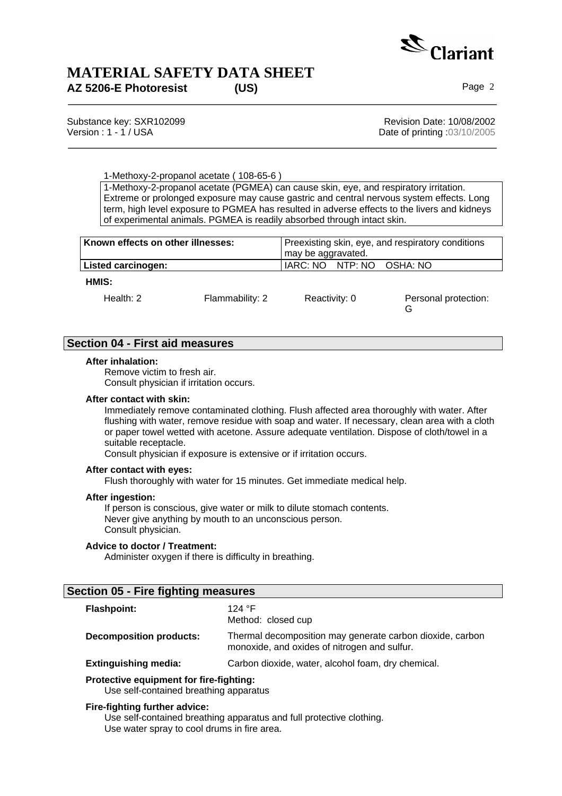

Substance key: SXR102099 Revision Date: 10/08/2002 Version : 1 - 1 / USA **Date of printing :03/10/2005** 

G

1-Methoxy-2-propanol acetate ( 108-65-6 )

1-Methoxy-2-propanol acetate (PGMEA) can cause skin, eye, and respiratory irritation. Extreme or prolonged exposure may cause gastric and central nervous system effects. Long term, high level exposure to PGMEA has resulted in adverse effects to the livers and kidneys of experimental animals. PGMEA is readily absorbed through intact skin.

| Known effects on other illnesses: |                 | Preexisting skin, eye, and respiratory conditions<br>may be aggravated. |  |  |
|-----------------------------------|-----------------|-------------------------------------------------------------------------|--|--|
| Listed carcinogen:                |                 | IARC: NO NTP: NO OSHA: NO                                               |  |  |
| HMIS:                             |                 |                                                                         |  |  |
| Health: $2 \overline{ }$          | Flammability: 2 | Personal protection:<br>Reactivity: 0                                   |  |  |

## **Section 04 - First aid measures**

### **After inhalation:**

Remove victim to fresh air. Consult physician if irritation occurs.

### **After contact with skin:**

Immediately remove contaminated clothing. Flush affected area thoroughly with water. After flushing with water, remove residue with soap and water. If necessary, clean area with a cloth or paper towel wetted with acetone. Assure adequate ventilation. Dispose of cloth/towel in a suitable receptacle.

Consult physician if exposure is extensive or if irritation occurs.

### **After contact with eyes:**

Flush thoroughly with water for 15 minutes. Get immediate medical help.

#### **After ingestion:**

If person is conscious, give water or milk to dilute stomach contents. Never give anything by mouth to an unconscious person. Consult physician.

### **Advice to doctor / Treatment:**

Administer oxygen if there is difficulty in breathing.

## **Section 05 - Fire fighting measures**

| <b>Flashpoint:</b>             | 124 °F<br>Method: closed cup                                                                              |
|--------------------------------|-----------------------------------------------------------------------------------------------------------|
| <b>Decomposition products:</b> | Thermal decomposition may generate carbon dioxide, carbon<br>monoxide, and oxides of nitrogen and sulfur. |
| <b>Extinguishing media:</b>    | Carbon dioxide, water, alcohol foam, dry chemical.                                                        |

**Protective equipment for fire-fighting:** 

Use self-contained breathing apparatus

### **Fire-fighting further advice:**

Use self-contained breathing apparatus and full protective clothing. Use water spray to cool drums in fire area.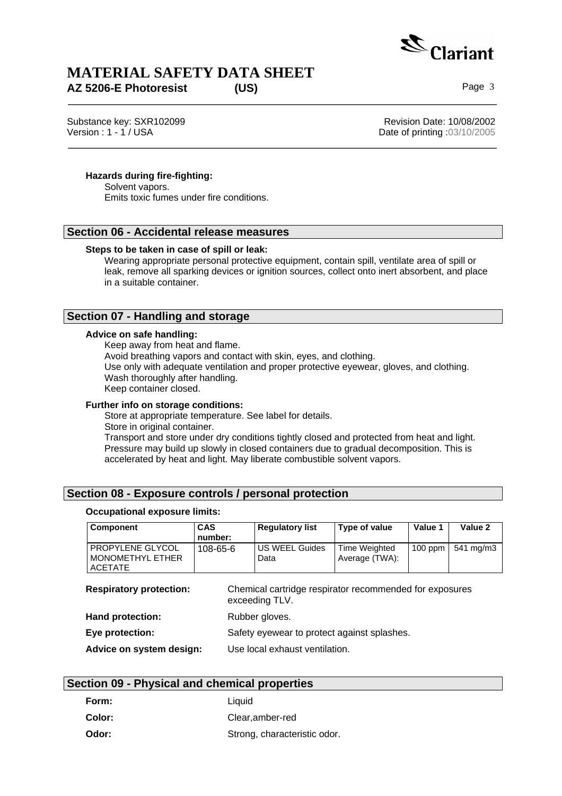

Substance key: SXR102099 <br>
Version : 1 - 1 / USA<br>
Version : 1 - 1 / USA

Date of printing  $.03/10/2005$ 

## **Hazards during fire-fighting:**

Solvent vapors. Emits toxic fumes under fire conditions.

## **Section 06 - Accidental release measures**

### **Steps to be taken in case of spill or leak:**

Wearing appropriate personal protective equipment, contain spill, ventilate area of spill or leak, remove all sparking devices or ignition sources, collect onto inert absorbent, and place in a suitable container.

## **Section 07 - Handling and storage**

### **Advice on safe handling:**

Keep away from heat and flame.

Avoid breathing vapors and contact with skin, eyes, and clothing.

Use only with adequate ventilation and proper protective eyewear, gloves, and clothing. Wash thoroughly after handling.

Keep container closed.

### **Further info on storage conditions:**

Store at appropriate temperature. See label for details. Store in original container. Transport and store under dry conditions tightly closed and protected from heat and light. Pressure may build up slowly in closed containers due to gradual decomposition. This is accelerated by heat and light. May liberate combustible solvent vapors.

## **Section 08 - Exposure controls / personal protection**

### **Occupational exposure limits:**

| <b>Component</b>                                              | <b>CAS</b><br>number: | <b>Regulatory list</b>                                  | Type of value                   | Value 1   | Value 2   |
|---------------------------------------------------------------|-----------------------|---------------------------------------------------------|---------------------------------|-----------|-----------|
| PROPYLENE GLYCOL<br><b>MONOMETHYL ETHER</b><br><b>ACETATE</b> | 108-65-6              | <b>US WEEL Guides</b><br>Data                           | Time Weighted<br>Average (TWA): | $100$ ppm | 541 mg/m3 |
| <b>Respiratory protection:</b><br>exceeding TLV.              |                       | Chemical cartridge respirator recommended for exposures |                                 |           |           |
| Hand protection:                                              |                       | Rubber gloves.                                          |                                 |           |           |
| Eye protection:                                               |                       | Safety eyewear to protect against splashes.             |                                 |           |           |
| Advice on system design:                                      |                       | Use local exhaust ventilation.                          |                                 |           |           |

## **Section 09 - Physical and chemical properties**

| Form:  | Liauid                       |
|--------|------------------------------|
| Color: | Clear.amber-red              |
| Odor:  | Strong, characteristic odor. |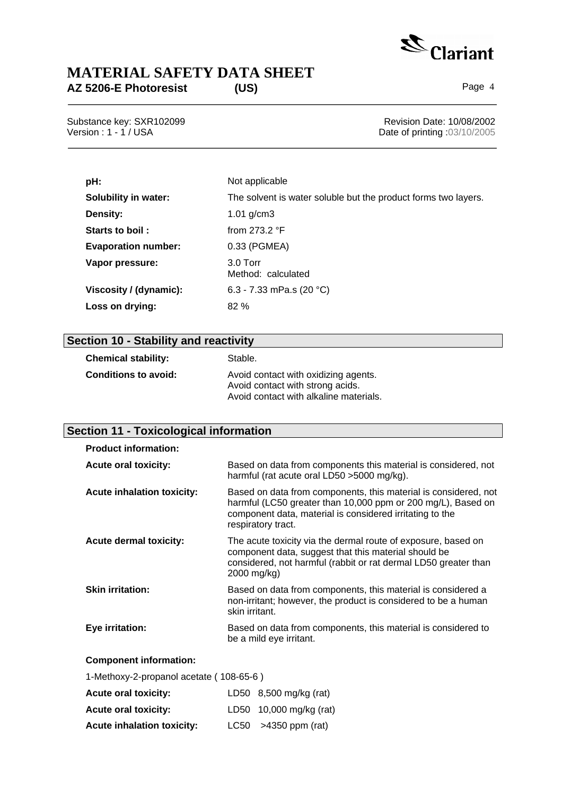

Substance key: SXR102099<br>
Version : 1 - 1 / USA<br>
Version : 1 - 1 / USA Date of printing :03/10/2005

| pH:                         | Not applicable                                                 |
|-----------------------------|----------------------------------------------------------------|
| <b>Solubility in water:</b> | The solvent is water soluble but the product forms two layers. |
| Density:                    | 1.01 $g/cm3$                                                   |
| Starts to boil:             | from $273.2$ °F                                                |
| <b>Evaporation number:</b>  | 0.33 (PGMEA)                                                   |
| Vapor pressure:             | $3.0$ Torr<br>Method: calculated                               |
| Viscosity / (dynamic):      | 6.3 - 7.33 mPa.s (20 °C)                                       |
| Loss on drying:             | 82%                                                            |

# **Section 10 - Stability and reactivity**

| <b>Chemical stability:</b> | Stable.                                                                                                            |
|----------------------------|--------------------------------------------------------------------------------------------------------------------|
| Conditions to avoid:       | Avoid contact with oxidizing agents.<br>Avoid contact with strong acids.<br>Avoid contact with alkaline materials. |

## **Section 11 - Toxicological information**

| <b>Product information:</b>             |                                                                                                                                                                                                                   |
|-----------------------------------------|-------------------------------------------------------------------------------------------------------------------------------------------------------------------------------------------------------------------|
| <b>Acute oral toxicity:</b>             | Based on data from components this material is considered, not<br>harmful (rat acute oral LD50 > 5000 mg/kg).                                                                                                     |
| <b>Acute inhalation toxicity:</b>       | Based on data from components, this material is considered, not<br>harmful (LC50 greater than 10,000 ppm or 200 mg/L), Based on<br>component data, material is considered irritating to the<br>respiratory tract. |
| <b>Acute dermal toxicity:</b>           | The acute toxicity via the dermal route of exposure, based on<br>component data, suggest that this material should be<br>considered, not harmful (rabbit or rat dermal LD50 greater than<br>2000 mg/kg)           |
| <b>Skin irritation:</b>                 | Based on data from components, this material is considered a<br>non-irritant; however, the product is considered to be a human<br>skin irritant.                                                                  |
| Eye irritation:                         | Based on data from components, this material is considered to<br>be a mild eye irritant.                                                                                                                          |
| <b>Component information:</b>           |                                                                                                                                                                                                                   |
| 1-Methoxy-2-propanol acetate (108-65-6) |                                                                                                                                                                                                                   |

| <b>Acute oral toxicity:</b>       | LD50 8,500 mg/kg (rat)  |
|-----------------------------------|-------------------------|
| <b>Acute oral toxicity:</b>       | LD50 10,000 mg/kg (rat) |
| <b>Acute inhalation toxicity:</b> | $LC50$ >4350 ppm (rat)  |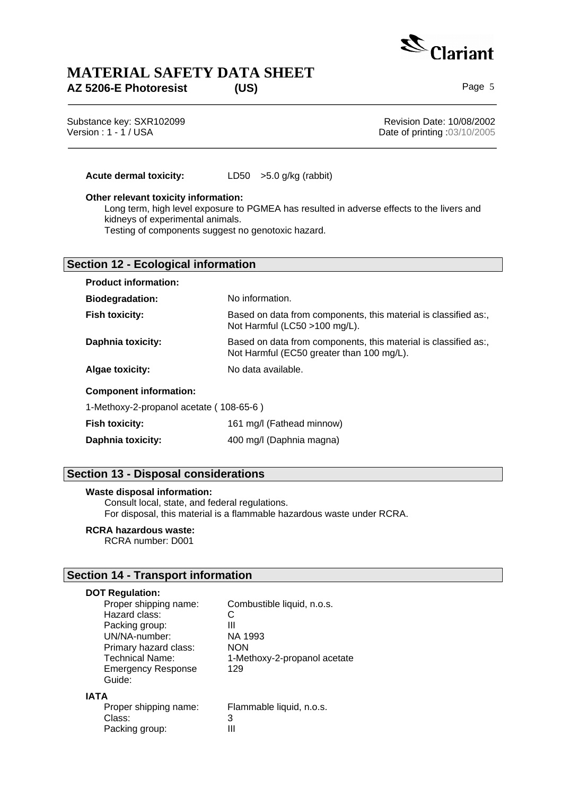

Substance key: SXR102099<br>
Version : 1 - 1 / USA<br>
Version : 1 - 1 / USA Date of printing  $.03/10/2005$ 

**Acute dermal toxicity:** LD50 >5.0 g/kg (rabbit)

### **Other relevant toxicity information:**

Long term, high level exposure to PGMEA has resulted in adverse effects to the livers and kidneys of experimental animals.

Testing of components suggest no genotoxic hazard.

## **Section 12 - Ecological information**

| <b>Product information:</b>             |                                                                                                              |  |  |
|-----------------------------------------|--------------------------------------------------------------------------------------------------------------|--|--|
| <b>Biodegradation:</b>                  | No information.                                                                                              |  |  |
| <b>Fish toxicity:</b>                   | Based on data from components, this material is classified as:,<br>Not Harmful (LC50 >100 mg/L).             |  |  |
| <b>Daphnia toxicity:</b>                | Based on data from components, this material is classified as:,<br>Not Harmful (EC50 greater than 100 mg/L). |  |  |
| <b>Algae toxicity:</b>                  | No data available.                                                                                           |  |  |
| <b>Component information:</b>           |                                                                                                              |  |  |
| 1-Methoxy-2-propanol acetate (108-65-6) |                                                                                                              |  |  |
| <b>Fish toxicity:</b>                   | 161 mg/l (Fathead minnow)                                                                                    |  |  |

| <b>Daphnia toxicity:</b> | 400 mg/l (Daphnia magna) |
|--------------------------|--------------------------|

## **Section 13 - Disposal considerations**

### **Waste disposal information:**

Consult local, state, and federal regulations. For disposal, this material is a flammable hazardous waste under RCRA.

## **RCRA hazardous waste:**

RCRA number: D001

## **Section 14 - Transport information**

## **DOT Regulation:**

| Proper shipping name:               | Combustible liquid, n.o.s.   |
|-------------------------------------|------------------------------|
| Hazard class:                       |                              |
| Packing group:                      | Ш                            |
| UN/NA-number:                       | NA 1993                      |
| Primary hazard class:               | <b>NON</b>                   |
| <b>Technical Name:</b>              | 1-Methoxy-2-propanol acetate |
| <b>Emergency Response</b><br>Guide: | 129                          |
| <b>IATA</b>                         |                              |
| Proper shipping name:               | Flammable liquid, n.o.s.     |
| Class:                              | 3                            |
| Packing group:                      |                              |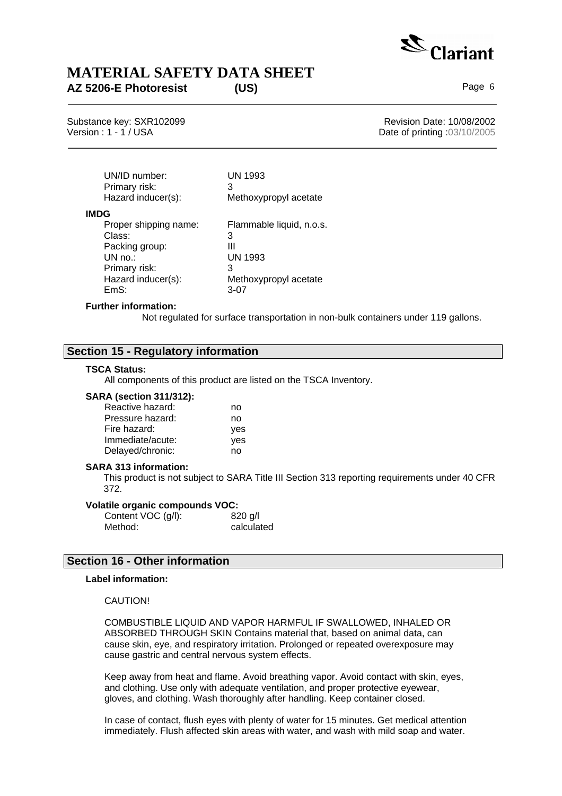

Substance key: SXR102099 <br>
Version : 1 - 1 / USA<br>
Version : 1 - 1 / USA Date of printing  $.03/10/2005$ 

| UN/ID number:<br>Primary risk:<br>Hazard inducer(s): | UN 1993<br>З<br>Methoxypropyl acetate |
|------------------------------------------------------|---------------------------------------|
| <b>IMDG</b>                                          |                                       |
| Proper shipping name:                                | Flammable liquid, n.o.s.              |
| Class:                                               | 3                                     |
| Packing group:                                       | Ш                                     |
| $UN no.$ :                                           | UN 1993                               |
| Primary risk:                                        | 3                                     |
| Hazard inducer(s):                                   | Methoxypropyl acetate                 |
| FmS∙                                                 | $3-07$                                |

### **Further information:**

Not regulated for surface transportation in non-bulk containers under 119 gallons.

## **Section 15 - Regulatory information**

### **TSCA Status:**

All components of this product are listed on the TSCA Inventory.

### **SARA (section 311/312):**

| Reactive hazard: | no         |
|------------------|------------|
| Pressure hazard: | no         |
| Fire hazard:     | <b>ves</b> |
| Immediate/acute: | yes        |
| Delayed/chronic: | no         |

### **SARA 313 information:**

This product is not subject to SARA Title III Section 313 reporting requirements under 40 CFR 372.

### **Volatile organic compounds VOC:**

| Content VOC (g/l): | $820$ g/l  |
|--------------------|------------|
| Method:            | calculated |

### **Section 16 - Other information**

### **Label information:**

### CAUTION!

COMBUSTIBLE LIQUID AND VAPOR HARMFUL IF SWALLOWED, INHALED OR ABSORBED THROUGH SKIN Contains material that, based on animal data, can cause skin, eye, and respiratory irritation. Prolonged or repeated overexposure may cause gastric and central nervous system effects.

Keep away from heat and flame. Avoid breathing vapor. Avoid contact with skin, eyes, and clothing. Use only with adequate ventilation, and proper protective eyewear, gloves, and clothing. Wash thoroughly after handling. Keep container closed.

In case of contact, flush eyes with plenty of water for 15 minutes. Get medical attention immediately. Flush affected skin areas with water, and wash with mild soap and water.